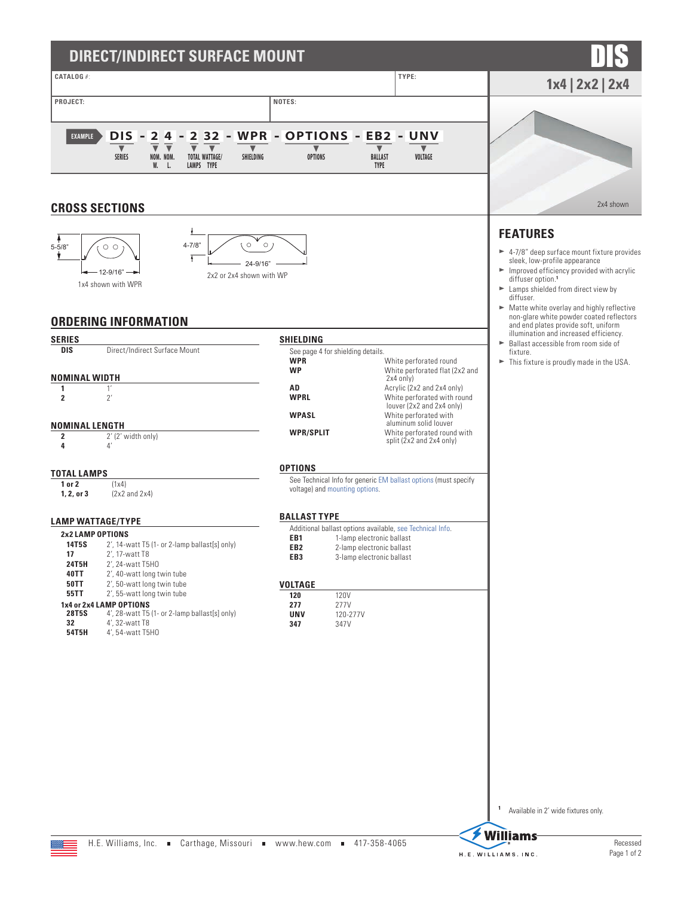| DIRECT/INDIRECT SURFACE MOUNT                                                                                                                                                                                                                                                                                                                                                                                        |                                                                                                                                                                                                                                                                                        |                                                                                                                                                                                                                                                                                                                                                                                            |
|----------------------------------------------------------------------------------------------------------------------------------------------------------------------------------------------------------------------------------------------------------------------------------------------------------------------------------------------------------------------------------------------------------------------|----------------------------------------------------------------------------------------------------------------------------------------------------------------------------------------------------------------------------------------------------------------------------------------|--------------------------------------------------------------------------------------------------------------------------------------------------------------------------------------------------------------------------------------------------------------------------------------------------------------------------------------------------------------------------------------------|
| <b>CATALOG #:</b>                                                                                                                                                                                                                                                                                                                                                                                                    | TYPE:                                                                                                                                                                                                                                                                                  | $1x4$   2x2   2x4                                                                                                                                                                                                                                                                                                                                                                          |
| PROJECT:<br><b>DIS</b><br>$\mathbf{2}$<br>32<br>$\overline{\mathbf{2}}$<br>4<br><b>EXAMPLE</b><br>$\overline{\mathbf{v}}$<br><b>SERIES</b><br>NOM. NOM.<br><b>TOTAL WATTAGE/</b><br>SHIELDING                                                                                                                                                                                                                        | NOTES:<br>WPR - OPTIONS - EB2 - UNV<br>$\blacktriangledown$<br><b>OPTIONS</b><br><b>BALLAST</b>                                                                                                                                                                                        | VOLTAGE                                                                                                                                                                                                                                                                                                                                                                                    |
| W.<br>LAMPS TYPE<br>L.<br><b>CROSS SECTIONS</b>                                                                                                                                                                                                                                                                                                                                                                      | <b>TYPE</b>                                                                                                                                                                                                                                                                            | 2x4 shown                                                                                                                                                                                                                                                                                                                                                                                  |
| $\circ$<br>$4 - 7/8$<br>$5 - 5/8"$<br>$\circ$ $\circ$<br>ł<br>24-9/16"<br>$-12-9/16" \rightarrow$<br>2x2 or 2x4 shown with WP<br>1x4 shown with WPR<br><b>ORDERING INFORMATION</b>                                                                                                                                                                                                                                   | $\circ$                                                                                                                                                                                                                                                                                | <b>FEATURES</b><br>$\blacktriangleright$ 4-7/8" deep surface mount fixture provides<br>sleek, low-profile appearance<br>$\blacktriangleright$ Improved efficiency provided with acrylic<br>diffuser option. <sup>1</sup><br>$\blacktriangleright$ Lamps shielded from direct view by<br>diffuser.<br>Matte white overlay and highly reflective<br>non-glare white powder coated reflectors |
|                                                                                                                                                                                                                                                                                                                                                                                                                      |                                                                                                                                                                                                                                                                                        | and end plates provide soft, uniform<br>illumination and increased efficiency.                                                                                                                                                                                                                                                                                                             |
| <b>SERIES</b><br>Direct/Indirect Surface Mount<br>DIS<br><b>NOMINAL WIDTH</b>                                                                                                                                                                                                                                                                                                                                        | SHIELDING<br>See page 4 for shielding details.<br><b>WPR</b><br>White perforated round<br><b>WP</b><br>$2x4$ only)                                                                                                                                                                     | Ballast accessible from room side of<br>fixture.<br>$\blacktriangleright$ This fixture is proudly made in the USA.<br>White perforated flat (2x2 and                                                                                                                                                                                                                                       |
| 1'<br>1<br>2'<br>$\overline{2}$<br><b>NOMINAL LENGTH</b><br>2' (2' width only)<br>2                                                                                                                                                                                                                                                                                                                                  | AD<br><b>WPRL</b><br>White perforated with<br><b>WPASL</b><br>aluminum solid louver<br><b>WPR/SPLIT</b><br>split (2x2 and 2x4 only)                                                                                                                                                    | Acrylic (2x2 and 2x4 only)<br>White perforated with round<br>louver (2x2 and 2x4 only)<br>White perforated round with                                                                                                                                                                                                                                                                      |
| 4'<br>4<br><b>TOTAL LAMPS</b><br>1 or 2<br>(1x4)<br>1, 2, or 3<br>$(2x2$ and $2x4)$                                                                                                                                                                                                                                                                                                                                  | <b>OPTIONS</b><br>See Technical Info for generic EM ballast options (must specify<br>voltage) and mounting options.                                                                                                                                                                    |                                                                                                                                                                                                                                                                                                                                                                                            |
|                                                                                                                                                                                                                                                                                                                                                                                                                      | <b>BALLAST TYPE</b>                                                                                                                                                                                                                                                                    |                                                                                                                                                                                                                                                                                                                                                                                            |
| <b>LAMP WATTAGE/TYPE</b><br>2x2 LAMP OPTIONS<br>14T5S 2', 14-watt T5 (1- or 2-lamp ballast[s] only)<br>17<br>2', 17-watt T8<br>2', 24-watt T5H0<br>24T5H<br>40TT<br>2', 40-watt long twin tube<br>50TT<br>2', 50-watt long twin tube<br>55TT<br>2', 55-watt long twin tube<br>1x4 or 2x4 LAMP OPTIONS<br>4', 28-watt T5 (1- or 2-lamp ballast[s] only)<br>28T5S<br>32<br>4', 32-watt T8<br>54T5H<br>4', 54-watt T5H0 | Additional ballast options available, see Technical Info.<br>EB <sub>1</sub><br>1-lamp electronic ballast<br>EB <sub>2</sub><br>2-lamp electronic ballast<br>3-lamp electronic ballast<br>EB3<br><b>VOLTAGE</b><br>120<br>120V<br>277<br>277V<br><b>UNV</b><br>120-277V<br>347<br>347V |                                                                                                                                                                                                                                                                                                                                                                                            |
|                                                                                                                                                                                                                                                                                                                                                                                                                      |                                                                                                                                                                                                                                                                                        | 1<br>Available in 2' wide fixtures only.                                                                                                                                                                                                                                                                                                                                                   |